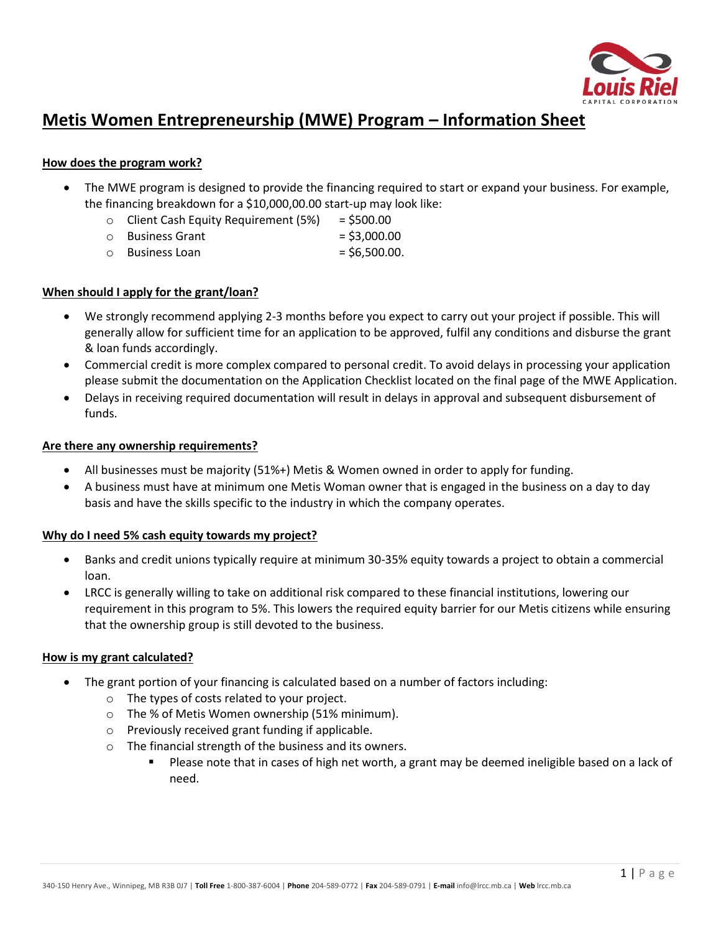

# **Metis Women Entrepreneurship (MWE) Program – Information Sheet**

## **How does the program work?**

- The MWE program is designed to provide the financing required to start or expand your business. For example, the financing breakdown for a \$10,000,00.00 start-up may look like:
	- $\circ$  Client Cash Equity Requirement (5%) = \$500.00
	- $\circ$  Business Grant  $=$  \$3,000.00
	- $\circ$  Business Loan  $=$  \$6,500.00.

# **When should I apply for the grant/loan?**

- We strongly recommend applying 2-3 months before you expect to carry out your project if possible. This will generally allow for sufficient time for an application to be approved, fulfil any conditions and disburse the grant & loan funds accordingly.
- Commercial credit is more complex compared to personal credit. To avoid delays in processing your application please submit the documentation on the Application Checklist located on the final page of the MWE Application.
- Delays in receiving required documentation will result in delays in approval and subsequent disbursement of funds.

## **Are there any ownership requirements?**

- All businesses must be majority (51%+) Metis & Women owned in order to apply for funding.
- A business must have at minimum one Metis Woman owner that is engaged in the business on a day to day basis and have the skills specific to the industry in which the company operates.

## **Why do I need 5% cash equity towards my project?**

- Banks and credit unions typically require at minimum 30-35% equity towards a project to obtain a commercial loan.
- LRCC is generally willing to take on additional risk compared to these financial institutions, lowering our requirement in this program to 5%. This lowers the required equity barrier for our Metis citizens while ensuring that the ownership group is still devoted to the business.

# **How is my grant calculated?**

- The grant portion of your financing is calculated based on a number of factors including:
	- o The types of costs related to your project.
	- o The % of Metis Women ownership (51% minimum).
	- o Previously received grant funding if applicable.
	- o The financial strength of the business and its owners.
		- Please note that in cases of high net worth, a grant may be deemed ineligible based on a lack of need.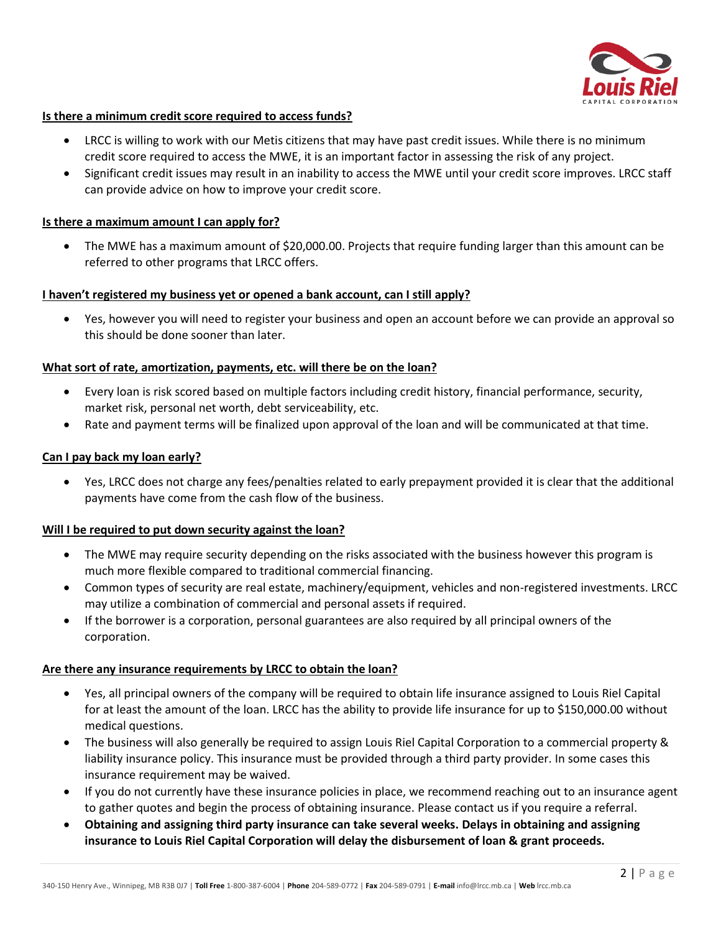

## **Is there a minimum credit score required to access funds?**

- LRCC is willing to work with our Metis citizens that may have past credit issues. While there is no minimum credit score required to access the MWE, it is an important factor in assessing the risk of any project.
- Significant credit issues may result in an inability to access the MWE until your credit score improves. LRCC staff can provide advice on how to improve your credit score.

## **Is there a maximum amount I can apply for?**

• The MWE has a maximum amount of \$20,000.00. Projects that require funding larger than this amount can be referred to other programs that LRCC offers.

## **I haven't registered my business yet or opened a bank account, can I still apply?**

• Yes, however you will need to register your business and open an account before we can provide an approval so this should be done sooner than later.

## **What sort of rate, amortization, payments, etc. will there be on the loan?**

- Every loan is risk scored based on multiple factors including credit history, financial performance, security, market risk, personal net worth, debt serviceability, etc.
- Rate and payment terms will be finalized upon approval of the loan and will be communicated at that time.

## **Can I pay back my loan early?**

• Yes, LRCC does not charge any fees/penalties related to early prepayment provided it is clear that the additional payments have come from the cash flow of the business.

## **Will I be required to put down security against the loan?**

- The MWE may require security depending on the risks associated with the business however this program is much more flexible compared to traditional commercial financing.
- Common types of security are real estate, machinery/equipment, vehicles and non-registered investments. LRCC may utilize a combination of commercial and personal assets if required.
- If the borrower is a corporation, personal guarantees are also required by all principal owners of the corporation.

## **Are there any insurance requirements by LRCC to obtain the loan?**

- Yes, all principal owners of the company will be required to obtain life insurance assigned to Louis Riel Capital for at least the amount of the loan. LRCC has the ability to provide life insurance for up to \$150,000.00 without medical questions.
- The business will also generally be required to assign Louis Riel Capital Corporation to a commercial property & liability insurance policy. This insurance must be provided through a third party provider. In some cases this insurance requirement may be waived.
- If you do not currently have these insurance policies in place, we recommend reaching out to an insurance agent to gather quotes and begin the process of obtaining insurance. Please contact us if you require a referral.
- **Obtaining and assigning third party insurance can take several weeks. Delays in obtaining and assigning insurance to Louis Riel Capital Corporation will delay the disbursement of loan & grant proceeds.**